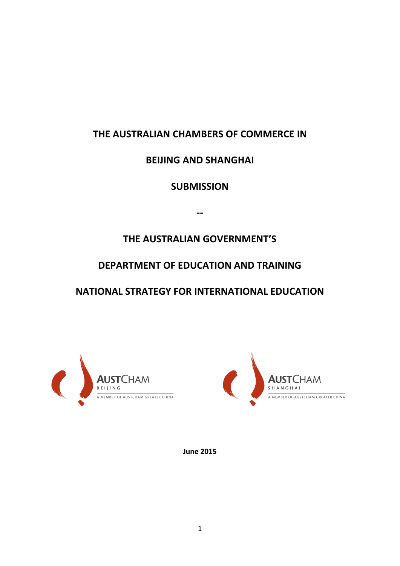# **THE AUSTRALIAN CHAMBERS OF COMMERCE IN**

## **BEIJING AND SHANGHAI**

**SUBMISSION**

**--**

**THE AUSTRALIAN GOVERNMENT'S**

# **DEPARTMENT OF EDUCATION AND TRAINING**

**NATIONAL STRATEGY FOR INTERNATIONAL EDUCATION**





**June 2015**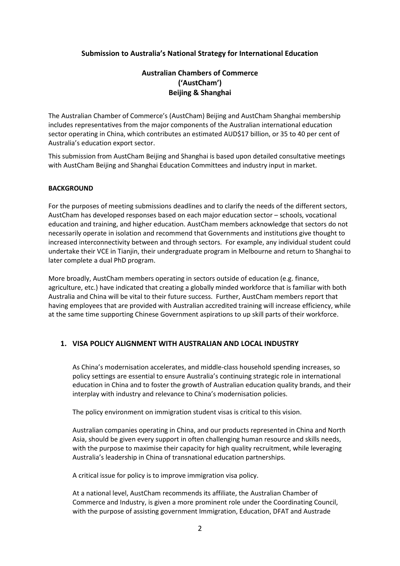## **Submission to Australia's National Strategy for International Education**

## **Australian Chambers of Commerce ('AustCham') Beijing & Shanghai**

The Australian Chamber of Commerce's (AustCham) Beijing and AustCham Shanghai membership includes representatives from the major components of the Australian international education sector operating in China, which contributes an estimated AUD\$17 billion, or 35 to 40 per cent of Australia's education export sector.

This submission from AustCham Beijing and Shanghai is based upon detailed consultative meetings with AustCham Beijing and Shanghai Education Committees and industry input in market.

## **BACKGROUND**

For the purposes of meeting submissions deadlines and to clarify the needs of the different sectors, AustCham has developed responses based on each major education sector – schools, vocational education and training, and higher education. AustCham members acknowledge that sectors do not necessarily operate in isolation and recommend that Governments and institutions give thought to increased interconnectivity between and through sectors. For example, any individual student could undertake their VCE in Tianjin, their undergraduate program in Melbourne and return to Shanghai to later complete a dual PhD program.

More broadly, AustCham members operating in sectors outside of education (e.g. finance, agriculture, etc.) have indicated that creating a globally minded workforce that is familiar with both Australia and China will be vital to their future success. Further, AustCham members report that having employees that are provided with Australian accredited training will increase efficiency, while at the same time supporting Chinese Government aspirations to up skill parts of their workforce.

## **1. VISA POLICY ALIGNMENT WITH AUSTRALIAN AND LOCAL INDUSTRY**

As China's modernisation accelerates, and middle-class household spending increases, so policy settings are essential to ensure Australia's continuing strategic role in international education in China and to foster the growth of Australian education quality brands, and their interplay with industry and relevance to China's modernisation policies.

The policy environment on immigration student visas is critical to this vision.

Australian companies operating in China, and our products represented in China and North Asia, should be given every support in often challenging human resource and skills needs, with the purpose to maximise their capacity for high quality recruitment, while leveraging Australia's leadership in China of transnational education partnerships.

A critical issue for policy is to improve immigration visa policy.

At a national level, AustCham recommends its affiliate, the Australian Chamber of Commerce and Industry, is given a more prominent role under the Coordinating Council, with the purpose of assisting government Immigration, Education, DFAT and Austrade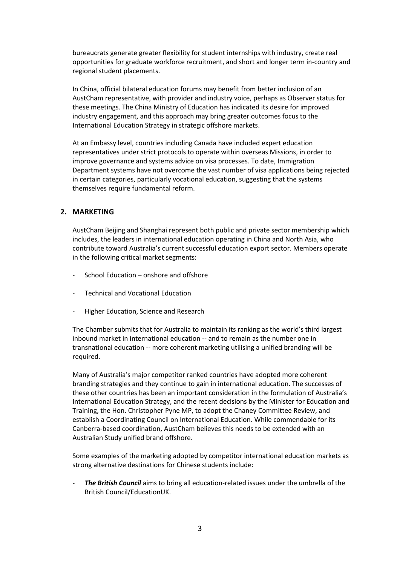bureaucrats generate greater flexibility for student internships with industry, create real opportunities for graduate workforce recruitment, and short and longer term in-country and regional student placements.

In China, official bilateral education forums may benefit from better inclusion of an AustCham representative, with provider and industry voice, perhaps as Observer status for these meetings. The China Ministry of Education has indicated its desire for improved industry engagement, and this approach may bring greater outcomes focus to the International Education Strategy in strategic offshore markets.

At an Embassy level, countries including Canada have included expert education representatives under strict protocols to operate within overseas Missions, in order to improve governance and systems advice on visa processes. To date, Immigration Department systems have not overcome the vast number of visa applications being rejected in certain categories, particularly vocational education, suggesting that the systems themselves require fundamental reform.

#### **2. MARKETING**

AustCham Beijing and Shanghai represent both public and private sector membership which includes, the leaders in international education operating in China and North Asia, who contribute toward Australia's current successful education export sector. Members operate in the following critical market segments:

- School Education onshore and offshore
- Technical and Vocational Education
- Higher Education, Science and Research

The Chamber submits that for Australia to maintain its ranking as the world's third largest inbound market in international education -- and to remain as the number one in transnational education -- more coherent marketing utilising a unified branding will be required.

Many of Australia's major competitor ranked countries have adopted more coherent branding strategies and they continue to gain in international education. The successes of these other countries has been an important consideration in the formulation of Australia's International Education Strategy, and the recent decisions by the Minister for Education and Training, the Hon. Christopher Pyne MP, to adopt the Chaney Committee Review, and establish a Coordinating Council on International Education. While commendable for its Canberra-based coordination, AustCham believes this needs to be extended with an Australian Study unified brand offshore.

Some examples of the marketing adopted by competitor international education markets as strong alternative destinations for Chinese students include:

**The British Council** aims to bring all education-related issues under the umbrella of the British Council/EducationUK.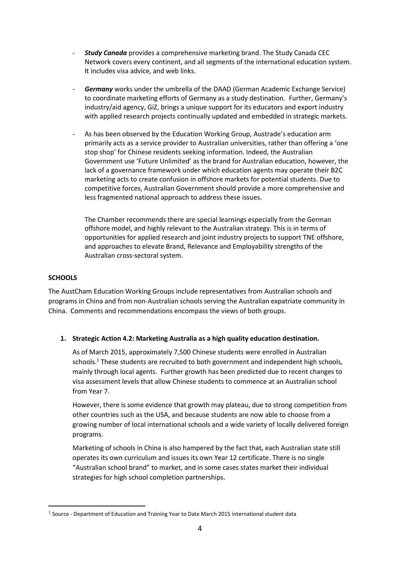- *Study Canada* provides a comprehensive marketing brand. The Study Canada CEC Network covers every continent, and all segments of the international education system. It includes visa advice, and web links.
- **Germany** works under the umbrella of the DAAD (German Academic Exchange Service) to coordinate marketing efforts of Germany as a study destination. Further, Germany's industry/aid agency, GiZ, brings a unique support for its educators and export industry with applied research projects continually updated and embedded in strategic markets.
- As has been observed by the Education Working Group, Austrade's education arm primarily acts as a service provider to Australian universities, rather than offering a 'one stop shop' for Chinese residents seeking information. Indeed, the Australian Government use 'Future Unlimited' as the brand for Australian education, however, the lack of a governance framework under which education agents may operate their B2C marketing acts to create confusion in offshore markets for potential students. Due to competitive forces, Australian Government should provide a more comprehensive and less fragmented national approach to address these issues.

The Chamber recommends there are special learnings especially from the German offshore model, and highly relevant to the Australian strategy. This is in terms of opportunities for applied research and joint industry projects to support TNE offshore, and approaches to elevate Brand, Relevance and Employability strengths of the Australian cross-sectoral system.

#### **SCHOOLS**

**.** 

The AustCham Education Working Groups include representatives from Australian schools and programs in China and from non-Australian schools serving the Australian expatriate community in China. Comments and recommendations encompass the views of both groups.

#### **1. Strategic Action 4.2: Marketing Australia as a high quality education destination.**

As of March 2015, approximately 7,500 Chinese students were enrolled in Australian schools.<sup>1</sup> These students are recruited to both government and independent high schools, mainly through local agents. Further growth has been predicted due to recent changes to visa assessment levels that allow Chinese students to commence at an Australian school from Year 7.

However, there is some evidence that growth may plateau, due to strong competition from other countries such as the USA, and because students are now able to choose from a growing number of local international schools and a wide variety of locally delivered foreign programs.

Marketing of schools in China is also hampered by the fact that, each Australian state still operates its own curriculum and issues its own Year 12 certificate. There is no single "Australian school brand" to market, and in some cases states market their individual strategies for high school completion partnerships.

 $<sup>1</sup>$  Source - Department of Education and Training Year to Date March 2015 international student data</sup>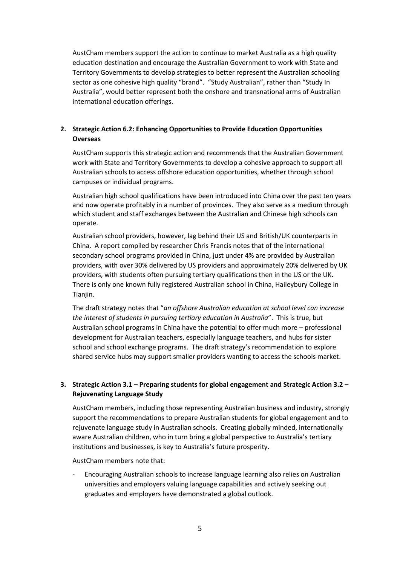AustCham members support the action to continue to market Australia as a high quality education destination and encourage the Australian Government to work with State and Territory Governments to develop strategies to better represent the Australian schooling sector as one cohesive high quality "brand". "Study Australian", rather than "Study In Australia", would better represent both the onshore and transnational arms of Australian international education offerings.

## **2. Strategic Action 6.2: Enhancing Opportunities to Provide Education Opportunities Overseas**

AustCham supports this strategic action and recommends that the Australian Government work with State and Territory Governments to develop a cohesive approach to support all Australian schools to access offshore education opportunities, whether through school campuses or individual programs.

Australian high school qualifications have been introduced into China over the past ten years and now operate profitably in a number of provinces. They also serve as a medium through which student and staff exchanges between the Australian and Chinese high schools can operate.

Australian school providers, however, lag behind their US and British/UK counterparts in China. A report compiled by researcher Chris Francis notes that of the international secondary school programs provided in China, just under 4% are provided by Australian providers, with over 30% delivered by US providers and approximately 20% delivered by UK providers, with students often pursuing tertiary qualifications then in the US or the UK. There is only one known fully registered Australian school in China, Haileybury College in Tianjin.

The draft strategy notes that "*an offshore Australian education at school level can increase the interest of students in pursuing tertiary education in Australia*". This is true, but Australian school programs in China have the potential to offer much more – professional development for Australian teachers, especially language teachers, and hubs for sister school and school exchange programs. The draft strategy's recommendation to explore shared service hubs may support smaller providers wanting to access the schools market.

## **3. Strategic Action 3.1 – Preparing students for global engagement and Strategic Action 3.2 – Rejuvenating Language Study**

AustCham members, including those representing Australian business and industry, strongly support the recommendations to prepare Australian students for global engagement and to rejuvenate language study in Australian schools. Creating globally minded, internationally aware Australian children, who in turn bring a global perspective to Australia's tertiary institutions and businesses, is key to Australia's future prosperity.

AustCham members note that:

- Encouraging Australian schools to increase language learning also relies on Australian universities and employers valuing language capabilities and actively seeking out graduates and employers have demonstrated a global outlook.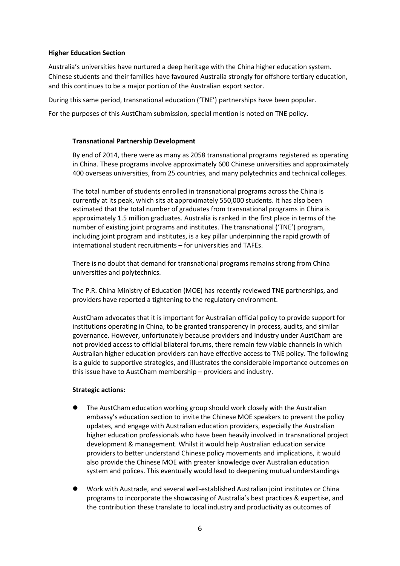#### **Higher Education Section**

Australia's universities have nurtured a deep heritage with the China higher education system. Chinese students and their families have favoured Australia strongly for offshore tertiary education, and this continues to be a major portion of the Australian export sector.

During this same period, transnational education ('TNE') partnerships have been popular.

For the purposes of this AustCham submission, special mention is noted on TNE policy.

#### **Transnational Partnership Development**

By end of 2014, there were as many as 2058 transnational programs registered as operating in China. These programs involve approximately 600 Chinese universities and approximately 400 overseas universities, from 25 countries, and many polytechnics and technical colleges.

The total number of students enrolled in transnational programs across the China is currently at its peak, which sits at approximately 550,000 students. It has also been estimated that the total number of graduates from transnational programs in China is approximately 1.5 million graduates. Australia is ranked in the first place in terms of the number of existing joint programs and institutes. The transnational ('TNE') program, including joint program and institutes, is a key pillar underpinning the rapid growth of international student recruitments – for universities and TAFEs.

There is no doubt that demand for transnational programs remains strong from China universities and polytechnics.

The P.R. China Ministry of Education (MOE) has recently reviewed TNE partnerships, and providers have reported a tightening to the regulatory environment.

AustCham advocates that it is important for Australian official policy to provide support for institutions operating in China, to be granted transparency in process, audits, and similar governance. However, unfortunately because providers and industry under AustCham are not provided access to official bilateral forums, there remain few viable channels in which Australian higher education providers can have effective access to TNE policy. The following is a guide to supportive strategies, and illustrates the considerable importance outcomes on this issue have to AustCham membership – providers and industry.

#### **Strategic actions:**

- The AustCham education working group should work closely with the Australian embassy's education section to invite the Chinese MOE speakers to present the policy updates, and engage with Australian education providers, especially the Australian higher education professionals who have been heavily involved in transnational project development & management. Whilst it would help Australian education service providers to better understand Chinese policy movements and implications, it would also provide the Chinese MOE with greater knowledge over Australian education system and polices. This eventually would lead to deepening mutual understandings
- Work with Austrade, and several well-established Australian joint institutes or China programs to incorporate the showcasing of Australia's best practices & expertise, and the contribution these translate to local industry and productivity as outcomes of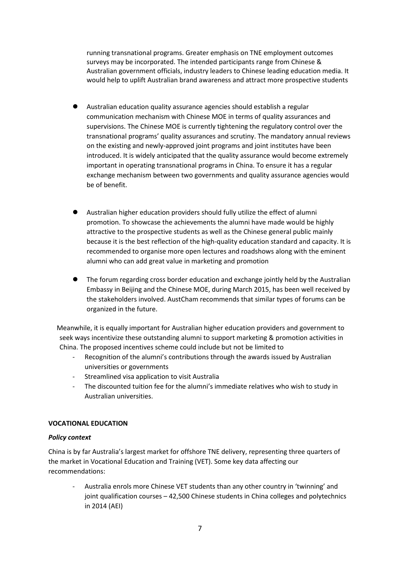running transnational programs. Greater emphasis on TNE employment outcomes surveys may be incorporated. The intended participants range from Chinese & Australian government officials, industry leaders to Chinese leading education media. It would help to uplift Australian brand awareness and attract more prospective students

- Australian education quality assurance agencies should establish a regular communication mechanism with Chinese MOE in terms of quality assurances and supervisions. The Chinese MOE is currently tightening the regulatory control over the transnational programs' quality assurances and scrutiny. The mandatory annual reviews on the existing and newly-approved joint programs and joint institutes have been introduced. It is widely anticipated that the quality assurance would become extremely important in operating transnational programs in China. To ensure it has a regular exchange mechanism between two governments and quality assurance agencies would be of benefit.
- Australian higher education providers should fully utilize the effect of alumni promotion. To showcase the achievements the alumni have made would be highly attractive to the prospective students as well as the Chinese general public mainly because it is the best reflection of the high-quality education standard and capacity. It is recommended to organise more open lectures and roadshows along with the eminent alumni who can add great value in marketing and promotion
- The forum regarding cross border education and exchange jointly held by the Australian Embassy in Beijing and the Chinese MOE, during March 2015, has been well received by the stakeholders involved. AustCham recommends that similar types of forums can be organized in the future.

 Meanwhile, it is equally important for Australian higher education providers and government to seek ways incentivize these outstanding alumni to support marketing & promotion activities in China. The proposed incentives scheme could include but not be limited to

- Recognition of the alumni's contributions through the awards issued by Australian universities or governments
- Streamlined visa application to visit Australia
- The discounted tuition fee for the alumni's immediate relatives who wish to study in Australian universities.

## **VOCATIONAL EDUCATION**

#### *Policy context*

China is by far Australia's largest market for offshore TNE delivery, representing three quarters of the market in Vocational Education and Training (VET). Some key data affecting our recommendations:

- Australia enrols more Chinese VET students than any other country in 'twinning' and joint qualification courses – 42,500 Chinese students in China colleges and polytechnics in 2014 (AEI)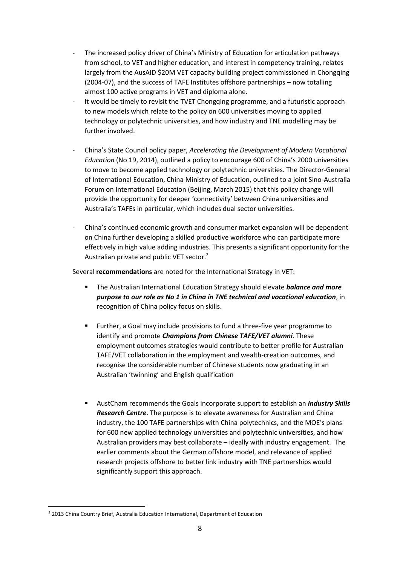- The increased policy driver of China's Ministry of Education for articulation pathways from school, to VET and higher education, and interest in competency training, relates largely from the AusAID \$20M VET capacity building project commissioned in Chongqing (2004-07), and the success of TAFE Institutes offshore partnerships – now totalling almost 100 active programs in VET and diploma alone.
- It would be timely to revisit the TVET Chongqing programme, and a futuristic approach to new models which relate to the policy on 600 universities moving to applied technology or polytechnic universities, and how industry and TNE modelling may be further involved.
- China's State Council policy paper, *Accelerating the Development of Modern Vocational Education* (No 19, 2014), outlined a policy to encourage 600 of China's 2000 universities to move to become applied technology or polytechnic universities. The Director-General of International Education, China Ministry of Education, outlined to a joint Sino-Australia Forum on International Education (Beijing, March 2015) that this policy change will provide the opportunity for deeper 'connectivity' between China universities and Australia's TAFEs in particular, which includes dual sector universities.
- China's continued economic growth and consumer market expansion will be dependent on China further developing a skilled productive workforce who can participate more effectively in high value adding industries. This presents a significant opportunity for the Australian private and public VET sector.<sup>2</sup>

Several **recommendations** are noted for the International Strategy in VET:

- The Australian International Education Strategy should elevate *balance and more purpose to our role as No 1 in China in TNE technical and vocational education*, in recognition of China policy focus on skills.
- **Further, a Goal may include provisions to fund a three-five year programme to** identify and promote *Champions from Chinese TAFE/VET alumni*. These employment outcomes strategies would contribute to better profile for Australian TAFE/VET collaboration in the employment and wealth-creation outcomes, and recognise the considerable number of Chinese students now graduating in an Australian 'twinning' and English qualification
- AustCham recommends the Goals incorporate support to establish an *Industry Skills Research Centre*. The purpose is to elevate awareness for Australian and China industry, the 100 TAFE partnerships with China polytechnics, and the MOE's plans for 600 new applied technology universities and polytechnic universities, and how Australian providers may best collaborate – ideally with industry engagement. The earlier comments about the German offshore model, and relevance of applied research projects offshore to better link industry with TNE partnerships would significantly support this approach.

**.** 

<sup>&</sup>lt;sup>2</sup> 2013 China Country Brief, Australia Education International, Department of Education